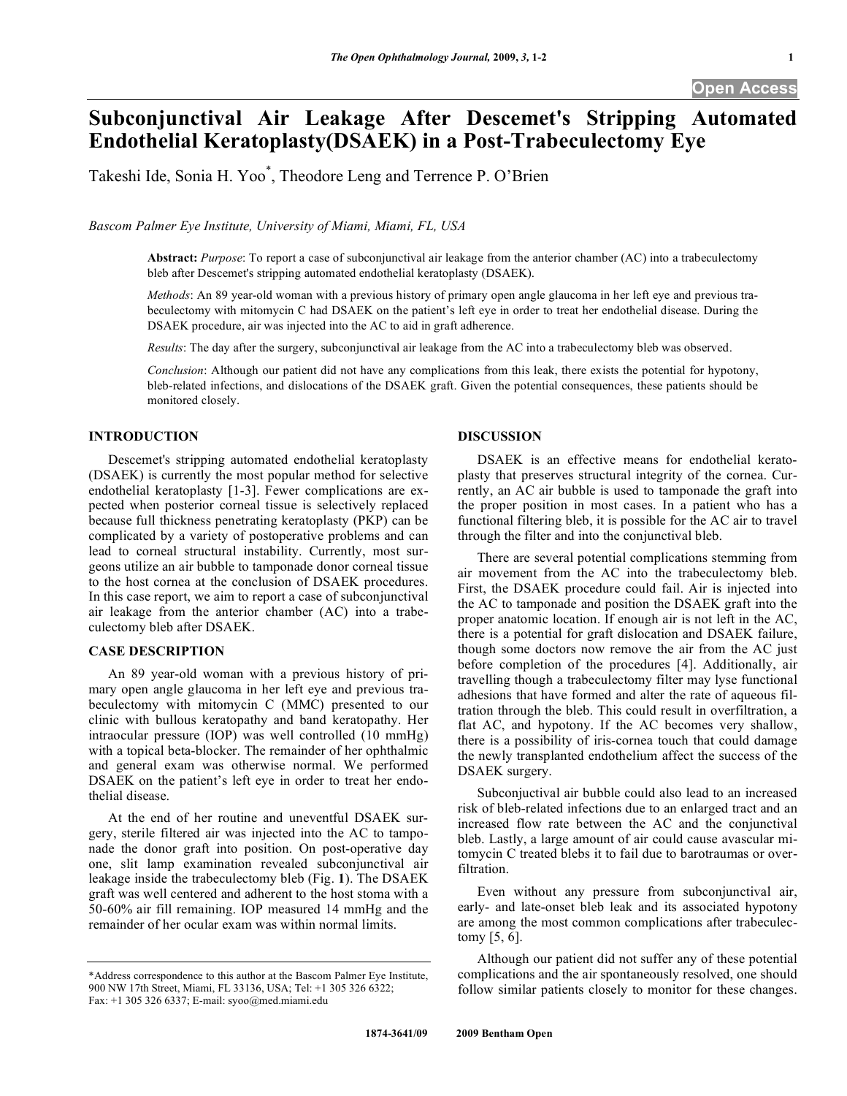# **Subconjunctival Air Leakage After Descemet's Stripping Automated Endothelial Keratoplasty(DSAEK) in a Post-Trabeculectomy Eye**

Takeshi Ide, Sonia H. Yoo\* , Theodore Leng and Terrence P. O'Brien

*Bascom Palmer Eye Institute, University of Miami, Miami, FL, USA* 

**Abstract:** *Purpose*: To report a case of subconjunctival air leakage from the anterior chamber (AC) into a trabeculectomy bleb after Descemet's stripping automated endothelial keratoplasty (DSAEK).

*Methods*: An 89 year-old woman with a previous history of primary open angle glaucoma in her left eye and previous trabeculectomy with mitomycin C had DSAEK on the patient's left eye in order to treat her endothelial disease. During the DSAEK procedure, air was injected into the AC to aid in graft adherence.

*Results*: The day after the surgery, subconjunctival air leakage from the AC into a trabeculectomy bleb was observed.

*Conclusion*: Although our patient did not have any complications from this leak, there exists the potential for hypotony, bleb-related infections, and dislocations of the DSAEK graft. Given the potential consequences, these patients should be monitored closely.

# **INTRODUCTION**

 Descemet's stripping automated endothelial keratoplasty (DSAEK) is currently the most popular method for selective endothelial keratoplasty [1-3]. Fewer complications are expected when posterior corneal tissue is selectively replaced because full thickness penetrating keratoplasty (PKP) can be complicated by a variety of postoperative problems and can lead to corneal structural instability. Currently, most surgeons utilize an air bubble to tamponade donor corneal tissue to the host cornea at the conclusion of DSAEK procedures. In this case report, we aim to report a case of subconjunctival air leakage from the anterior chamber (AC) into a trabeculectomy bleb after DSAEK.

## **CASE DESCRIPTION**

 An 89 year-old woman with a previous history of primary open angle glaucoma in her left eye and previous trabeculectomy with mitomycin C (MMC) presented to our clinic with bullous keratopathy and band keratopathy. Her intraocular pressure (IOP) was well controlled (10 mmHg) with a topical beta-blocker. The remainder of her ophthalmic and general exam was otherwise normal. We performed DSAEK on the patient's left eye in order to treat her endothelial disease.

 At the end of her routine and uneventful DSAEK surgery, sterile filtered air was injected into the AC to tamponade the donor graft into position. On post-operative day one, slit lamp examination revealed subconjunctival air leakage inside the trabeculectomy bleb (Fig. **1**). The DSAEK graft was well centered and adherent to the host stoma with a 50-60% air fill remaining. IOP measured 14 mmHg and the remainder of her ocular exam was within normal limits.

#### **DISCUSSION**

 DSAEK is an effective means for endothelial keratoplasty that preserves structural integrity of the cornea. Currently, an AC air bubble is used to tamponade the graft into the proper position in most cases. In a patient who has a functional filtering bleb, it is possible for the AC air to travel through the filter and into the conjunctival bleb.

 There are several potential complications stemming from air movement from the AC into the trabeculectomy bleb. First, the DSAEK procedure could fail. Air is injected into the AC to tamponade and position the DSAEK graft into the proper anatomic location. If enough air is not left in the AC, there is a potential for graft dislocation and DSAEK failure, though some doctors now remove the air from the AC just before completion of the procedures [4]. Additionally, air travelling though a trabeculectomy filter may lyse functional adhesions that have formed and alter the rate of aqueous filtration through the bleb. This could result in overfiltration, a flat AC, and hypotony. If the AC becomes very shallow, there is a possibility of iris-cornea touch that could damage the newly transplanted endothelium affect the success of the DSAEK surgery.

 Subconjuctival air bubble could also lead to an increased risk of bleb-related infections due to an enlarged tract and an increased flow rate between the AC and the conjunctival bleb. Lastly, a large amount of air could cause avascular mitomycin C treated blebs it to fail due to barotraumas or overfiltration.

 Even without any pressure from subconjunctival air, early- and late-onset bleb leak and its associated hypotony are among the most common complications after trabeculectomy [5, 6].

 Although our patient did not suffer any of these potential complications and the air spontaneously resolved, one should follow similar patients closely to monitor for these changes.

<sup>\*</sup>Address correspondence to this author at the Bascom Palmer Eye Institute, 900 NW 17th Street, Miami, FL 33136, USA; Tel: +1 305 326 6322; Fax: +1 305 326 6337; E-mail: syoo@med.miami.edu